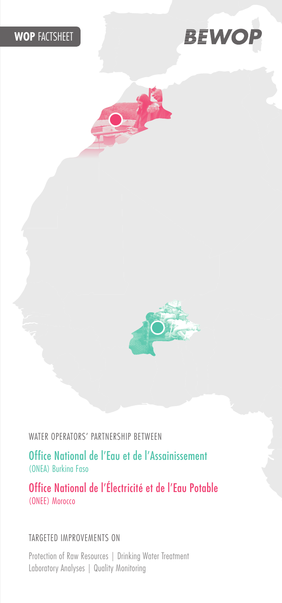#### **WOP FACTSHEET**







WATER OPERATORS' PARTNERSHIP BETWEEN

Office National de l'Eau et de l'Assainissement (ONEA) Burkina Faso

Office National de l'Électricité et de l'Eau Potable (ONEE) Morocco

#### TARGETED IMPROVEMENTS ON

Protection of Raw Resources | Drinking Water Treatment Laboratory Analyses | Quality Monitoring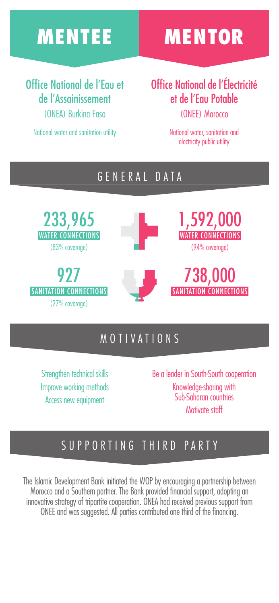# MENTEE MENTOR

#### Office National de l'Eau et de l'Assainissement (ONEA) Burkina Faso

National water and sanitation utility

Office National de l'Électricité et de l'Eau Potable (ONEE) Morocco

> National water, sanitation and electricity public utility

#### GENERAL DATA

233,965 WATER CONNECTIONS (83% coverage)

927 SANITATION CONNECTIONS  $(27%$  coverage)









#### **MOTIVATIONS**

Strengthen technical skills Improve working methods Access new equipment

Be a leader in South-South cooperation Knowledge-sharing with Sub-Saharan countries Motivate staff

### SUPPORTING THIRD PARTY

The Islamic Development Bank initiated the WOP by encouraging a partnership between Morocco and a Southern partner. The Bank provided financial support, adopting an innovative strategy of tripartite cooperation. ONEA had received previous support from ONEE and was suggested. All parties contributed one third of the financing.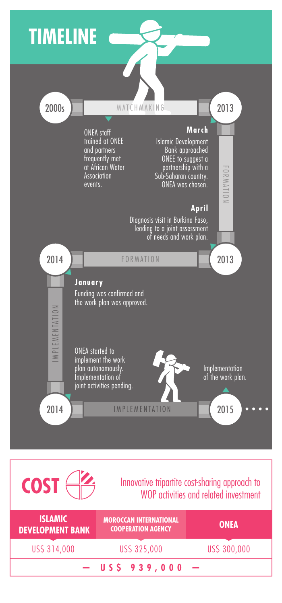## **TIMELINE**





#### **COST** Innovative tripartite cost-sharing approach to WOP activities and related investment

| <b>ISLAMIC</b><br><b>DEVELOPMENT BANK</b> | <b>MOROCCAN INTERNATIONAL</b><br><b>COOPERATION AGENCY</b> | <b>ONEA</b>  |
|-------------------------------------------|------------------------------------------------------------|--------------|
| US\$ 314,000                              | US\$ 325,000                                               | US\$ 300,000 |
| $-$ US\$ 939,000                          |                                                            |              |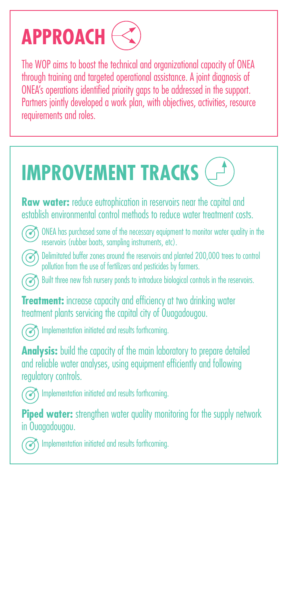# **APPROACH**

The WOP aims to boost the technical and organizational capacity of ONEA through training and targeted operational assistance. A joint diagnosis of ONEA's operations identified priority gaps to be addressed in the support. Partners jointly developed a work plan, with objectives, activities, resource requirements and roles.



**Raw water:** reduce eutrophication in reservoirs near the capital and establish environmental control methods to reduce water treatment costs.



ONEA has purchased some of the necessary equipment to monitor water quality in the reservoirs (rubber boats, sampling instruments, etc).



**8** Delimitated buffer zones around the reservoirs and planted 200,000 trees to control pollution from the use of fertilizers and pesticides by farmers.

Built three new fish nursery ponds to introduce biological controls in the reservoirs.

**Treatment:** increase capacity and efficiency at two drinking water treatment plants servicing the capital city of Ouagadougou.



**The Implementation initiated and results forthcoming.** 

**Analysis:** build the capacity of the main laboratory to prepare detailed and reliable water analyses, using equipment efficiently and following regulatory controls.



**Implementation initiated and results forthcoming.** 

**Piped water:** strengthen water quality monitoring for the supply network in Ouagadougou.



**Implementation initiated and results forthcoming.**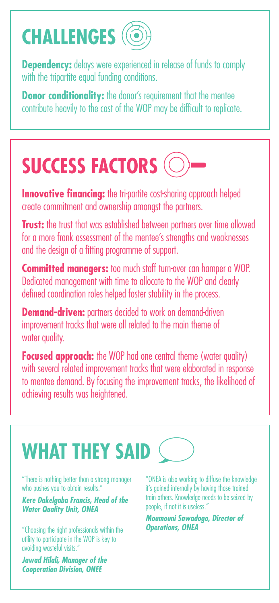# **CHALLENGES**

**Dependency:** delays were experienced in release of funds to comply with the tripartite equal funding conditions.

**Donor conditionality:** the donor's requirement that the mentee contribute heavily to the cost of the WOP may be difficult to replicate.

# **SUCCESS FACTORS**

**Innovative financing:** the tri-partite cost-sharing approach helped create commitment and ownership amongst the partners.

**Trust:** the trust that was established between partners over time allowed for a more frank assessment of the mentee's strengths and weaknesses and the design of a fitting programme of support.

**Committed managers:** too much staff turn-over can hamper a WOP. Dedicated management with time to allocate to the WOP and clearly defined coordination roles helped foster stability in the process.

**Demand-driven:** partners decided to work on demand-driven improvement tracks that were all related to the main theme of water quality.

**Focused approach:** the WOP had one central theme (water quality) with several related improvement tracks that were elaborated in response to mentee demand. By focusing the improvement tracks, the likelihood of achieving results was heightened.

# **WHAT THEY SAID**  $\zeta$

"There is nothing better than a strong manager who pushes you to obtain results."

*Kere Dakelgaba Francis, Head of the Water Quality Unit, ONEA*

"Choosing the right professionals within the utility to participate in the WOP is key to avoiding wasteful visits."

*Jawad Hilali, Manager of the Cooperation Division, ONEE*

"ONEA is also working to diffuse the knowledge it's gained internally by having those trained train others. Knowledge needs to be seized by people, if not it is useless."

*Moumouni Sawadogo, Director of Operations, ONEA*